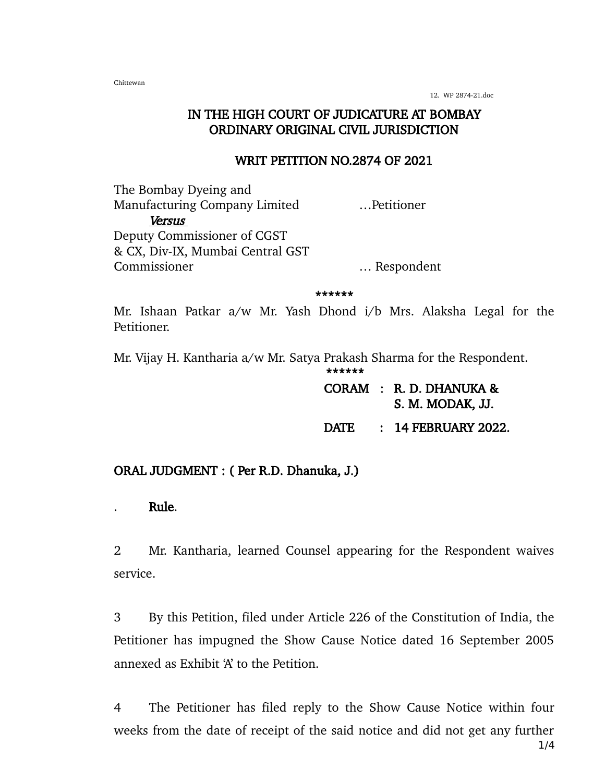12. WP 2874-21.doc

Chittewan

## IN THE HIGH COURT OF JUDICATURE AT BOMBAY ORDINARY ORIGINAL CIVIL JURISDICTION

### WRIT PETITION NO.2874 OF 2021

The Bombay Dyeing and Manufacturing Company Limited …Petitioner Versus Deputy Commissioner of CGST & CX, Div-IX, Mumbai Central GST Commissioner … Respondent

### \*\*\*\*\*\*

Mr. Ishaan Patkar a/w Mr. Yash Dhond i/b Mrs. Alaksha Legal for the Petitioner.

Mr. Vijay H. Kantharia a/w Mr. Satya Prakash Sharma for the Respondent. \*\*\*\*\*\*

> CORAM : R. D. DHANUKA & S. M. MODAK, JJ.

DATE : 14 FEBRUARY 2022.

# ORAL JUDGMENT : ( Per R.D. Dhanuka, J.)

. Rule.

2 Mr. Kantharia, learned Counsel appearing for the Respondent waives service.

3 By this Petition, filed under Article 226 of the Constitution of India, the Petitioner has impugned the Show Cause Notice dated 16 September 2005 annexed as Exhibit 'A' to the Petition.

4 The Petitioner has filed reply to the Show Cause Notice within four weeks from the date of receipt of the said notice and did not get any further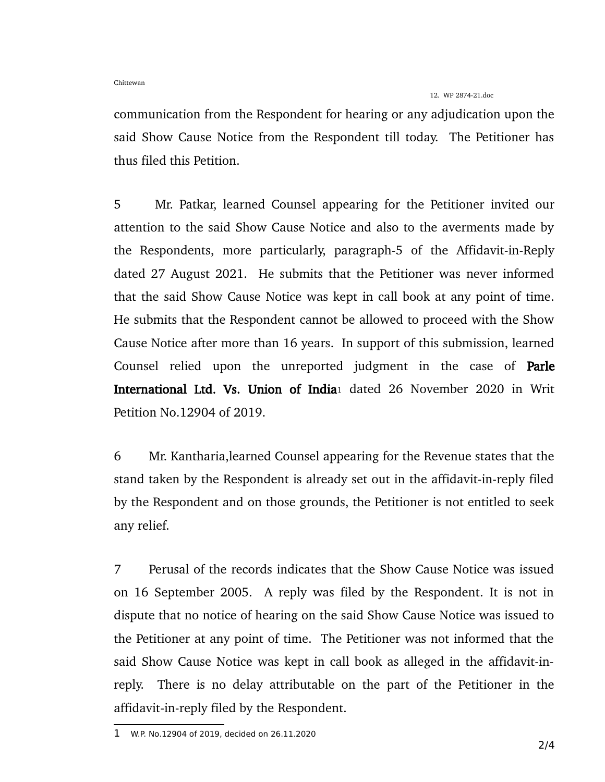#### 12. WP 2874-21.doc

communication from the Respondent for hearing or any adjudication upon the said Show Cause Notice from the Respondent till today. The Petitioner has thus filed this Petition.

5 Mr. Patkar, learned Counsel appearing for the Petitioner invited our attention to the said Show Cause Notice and also to the averments made by the Respondents, more particularly, paragraph-5 of the Affidavit-in-Reply dated 27 August 2021. He submits that the Petitioner was never informed that the said Show Cause Notice was kept in call book at any point of time. He submits that the Respondent cannot be allowed to proceed with the Show Cause Notice after more than 16 years. In support of this submission, learned Counsel relied upon the unreported judgment in the case of Parle International Ltd. Vs. Union of India<sub>[1](#page-1-0)</sub> dated 26 November 2020 in Writ Petition No.12904 of 2019.

6 Mr. Kantharia,learned Counsel appearing for the Revenue states that the stand taken by the Respondent is already set out in the affidavit-in-reply filed by the Respondent and on those grounds, the Petitioner is not entitled to seek any relief.

7 Perusal of the records indicates that the Show Cause Notice was issued on 16 September 2005. A reply was filed by the Respondent. It is not in dispute that no notice of hearing on the said Show Cause Notice was issued to the Petitioner at any point of time. The Petitioner was not informed that the said Show Cause Notice was kept in call book as alleged in the affidavit-inreply. There is no delay attributable on the part of the Petitioner in the affidavit-in-reply filed by the Respondent.

<span id="page-1-0"></span><sup>1</sup> W.P. No.12904 of 2019, decided on 26.11.2020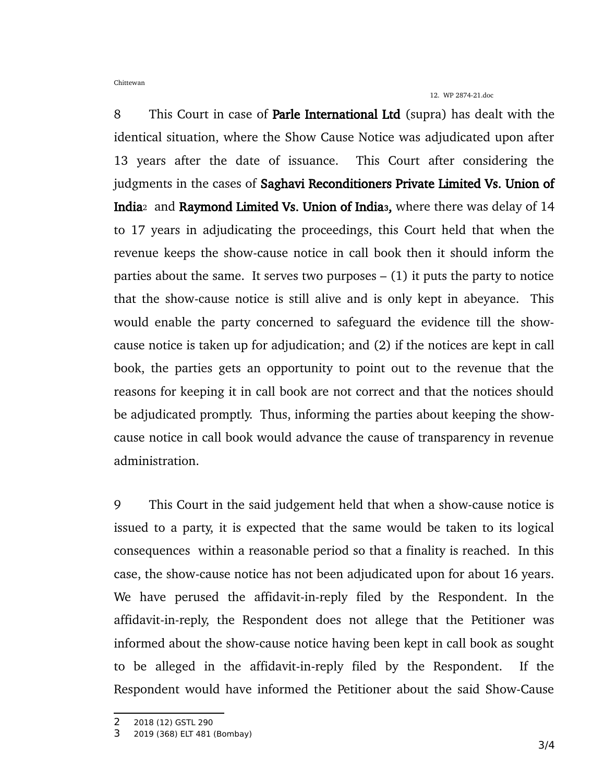Chittewan

8 This Court in case of Parle International Ltd (supra) has dealt with the identical situation, where the Show Cause Notice was adjudicated upon after 13 years after the date of issuance. This Court after considering the judgments in the cases of Saghavi Reconditioners Private Limited Vs. Union of India[2](#page-2-0) and Raymond Limited Vs. Union of India[3](#page-2-1), where there was delay of 14 to 17 years in adjudicating the proceedings, this Court held that when the revenue keeps the show-cause notice in call book then it should inform the parties about the same. It serves two purposes  $- (1)$  it puts the party to notice that the show-cause notice is still alive and is only kept in abeyance. This would enable the party concerned to safeguard the evidence till the showcause notice is taken up for adjudication; and (2) if the notices are kept in call book, the parties gets an opportunity to point out to the revenue that the reasons for keeping it in call book are not correct and that the notices should be adjudicated promptly. Thus, informing the parties about keeping the showcause notice in call book would advance the cause of transparency in revenue administration.

9 This Court in the said judgement held that when a show-cause notice is issued to a party, it is expected that the same would be taken to its logical consequences within a reasonable period so that a finality is reached. In this case, the show-cause notice has not been adjudicated upon for about 16 years. We have perused the affidavit-in-reply filed by the Respondent. In the affidavit-in-reply, the Respondent does not allege that the Petitioner was informed about the show-cause notice having been kept in call book as sought to be alleged in the affidavit-in-reply filed by the Respondent. If the Respondent would have informed the Petitioner about the said Show-Cause

<span id="page-2-0"></span><sup>2</sup> 2018 (12) GSTL 290

<span id="page-2-1"></span><sup>3</sup> 2019 (368) ELT 481 (Bombay)